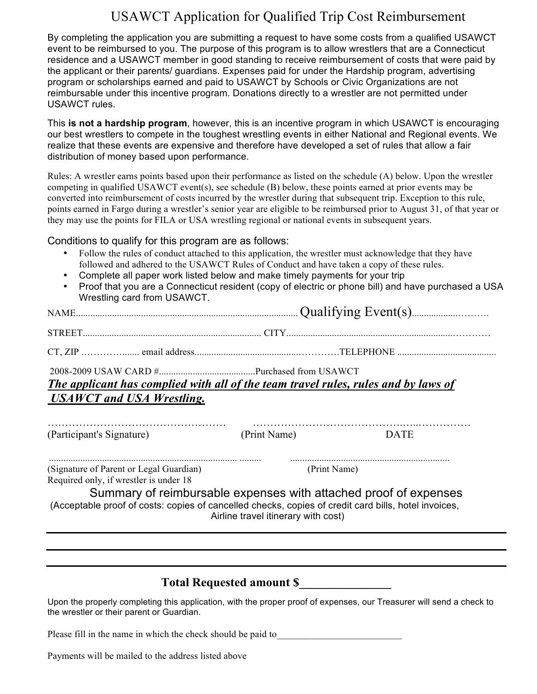## USAWCT Application for Qualified Trip Cost Reimbursement

By completing the application you are submitting a request to have some costs from a qualified USAWCT event to be reimbursed to you. The purpose of this program is to allow wrestlers that are a Connecticut residence and a USAWCT member in good standing to receive reimbursement of costs that were paid by the applicant or their parents/ guardians. Expenses paid for under the Hardship program, advertising program or scholarships earned and paid to USAWCT by Schools or Civic Organizations are not reimbursable under this incentive program. Donations directly to a wrestler are not permitted under USAWCT rules.

This **is not a hardship program**, however, this is an incentive program in which USAWCT is encouraging our best wrestlers to compete in the toughest wrestling events in either National and Regional events. We realize that these events are expensive and therefore have developed a set of rules that allow a fair distribution of money based upon performance.

Rules: A wrestler earns points based upon their performance as listed on the schedule (A) below. Upon the wrestler competing in qualified USAWCT event(s), see schedule (B) below, these points earned at prior events may be converted into reimbursement of costs incurred by the wrestler during that subsequent trip. Exception to this rule, points earned in Fargo during a wrestler's senior year are eligible to be reimbursed prior to August 31, of that year or they may use the points for FILA or USA wrestling regional or national events in subsequent years.

Conditions
to
qualify
for
this
program
are
as
follows:

- Follow the rules of conduct attached to this application, the wrestler must acknowledge that they have followed and adhered to the USAWCT Rules of Conduct and have taken a copy of these rules.
- Complete all paper work listed below and make timely payments for your trip
- Proof that you are a Connecticut resident (copy of electric or phone bill) and have purchased a USA Wrestling card from USAWCT.

| The applicant has complied with all of the team travel rules, rules and by laws of |              |             |  |
|------------------------------------------------------------------------------------|--------------|-------------|--|
| USAWCT and USA Wrestling.                                                          |              |             |  |
| (Participant's Signature)                                                          | (Print Name) | <b>DATE</b> |  |

|  | $\overline{\phantom{0}}$ |  |
|--|--------------------------|--|
|  |                          |  |
|  |                          |  |
|  |                          |  |
|  |                          |  |

.............................................................................. ......... .................................................................. (Signature of Parent or Legal Guardian) (Print Name) Required only, if wrestler is under 18

Summary of reimbursable expenses with attached proof of expenses (Acceptable proof of costs: copies of cancelled checks, copies of credit card bills, hotel invoices, Airline travel itinerary with cost)

#### **Total Requested amount \$\_\_\_\_\_\_\_\_\_\_\_\_\_\_\_**

Upon the properly completing this application, with the proper proof of expenses, our Treasurer will send a check to the wrestler or their parent or Guardian.

Please fill in the name in which the check should be paid to

Payments will be mailed to the address listed above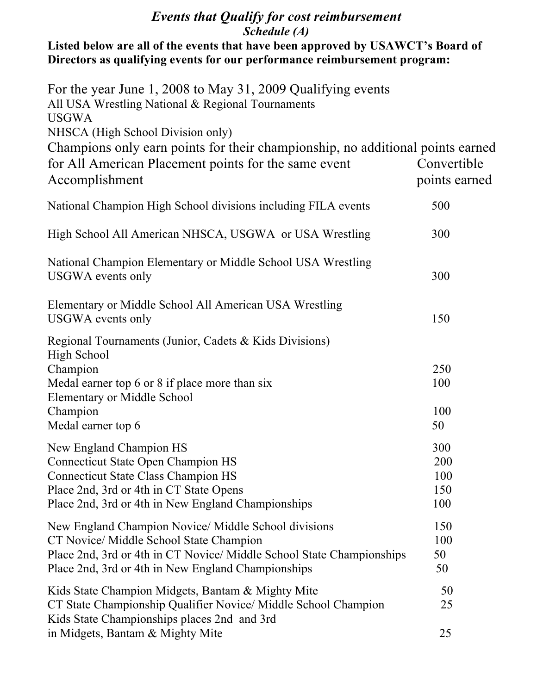### *Events that Qualify for cost reimbursement Schedule (A)*

Listed below are all of the events that have been approved by USAWCT's Board of **Directors as qualifying events for our performance reimbursement program:**

| For the year June 1, 2008 to May 31, 2009 Qualifying events<br>All USA Wrestling National & Regional Tournaments<br><b>USGWA</b><br>NHSCA (High School Division only)                                                          |                                 |
|--------------------------------------------------------------------------------------------------------------------------------------------------------------------------------------------------------------------------------|---------------------------------|
| Champions only earn points for their championship, no additional points earned<br>for All American Placement points for the same event<br>Accomplishment                                                                       | Convertible<br>points earned    |
| National Champion High School divisions including FILA events                                                                                                                                                                  | 500                             |
| High School All American NHSCA, USGWA or USA Wrestling                                                                                                                                                                         | 300                             |
| National Champion Elementary or Middle School USA Wrestling<br>USGWA events only                                                                                                                                               | 300                             |
| Elementary or Middle School All American USA Wrestling<br>USGWA events only                                                                                                                                                    | 150                             |
| Regional Tournaments (Junior, Cadets & Kids Divisions)<br><b>High School</b><br>Champion<br>Medal earner top 6 or 8 if place more than six<br><b>Elementary or Middle School</b><br>Champion<br>Medal earner top 6             | 250<br>100<br>100<br>50         |
| New England Champion HS<br><b>Connecticut State Open Champion HS</b><br><b>Connecticut State Class Champion HS</b><br>Place 2nd, 3rd or 4th in CT State Opens<br>Place 2nd, 3rd or 4th in New England Championships            | 300<br>200<br>100<br>150<br>100 |
| New England Champion Novice/ Middle School divisions<br>CT Novice/ Middle School State Champion<br>Place 2nd, 3rd or 4th in CT Novice/ Middle School State Championships<br>Place 2nd, 3rd or 4th in New England Championships | 150<br>100<br>50<br>50          |
| Kids State Champion Midgets, Bantam & Mighty Mite<br>CT State Championship Qualifier Novice/ Middle School Champion<br>Kids State Championships places 2nd and 3rd                                                             | 50<br>25                        |
| in Midgets, Bantam & Mighty Mite                                                                                                                                                                                               | 25                              |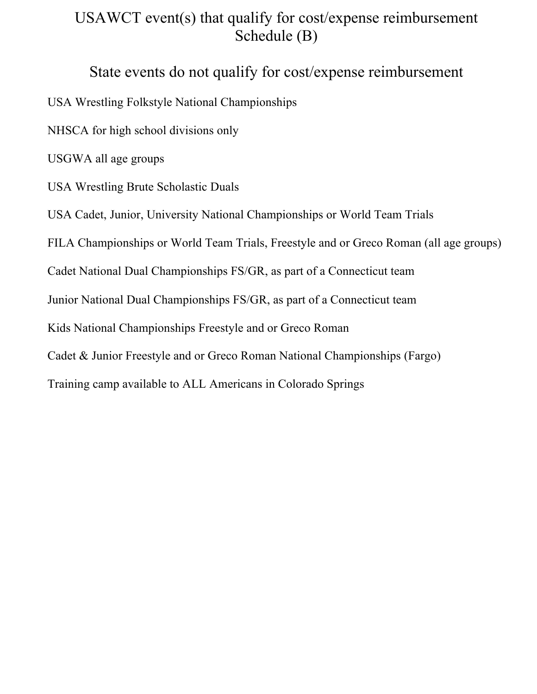# USAWCT event(s) that qualify for cost/expense reimbursement Schedule (B)

## State events do not qualify for cost/expense reimbursement

USA Wrestling Folkstyle National Championships

NHSCA for high school divisions only

USGWA all age groups

USA Wrestling Brute Scholastic Duals

USA Cadet, Junior, University National Championships or World Team Trials

FILA Championships or World Team Trials, Freestyle and or Greco Roman (all age groups)

Cadet National Dual Championships FS/GR, as part of a Connecticut team

Junior National Dual Championships FS/GR, as part of a Connecticut team

Kids National Championships Freestyle and or Greco Roman

Cadet & Junior Freestyle and or Greco Roman National Championships (Fargo)

Training camp available to ALL Americans in Colorado Springs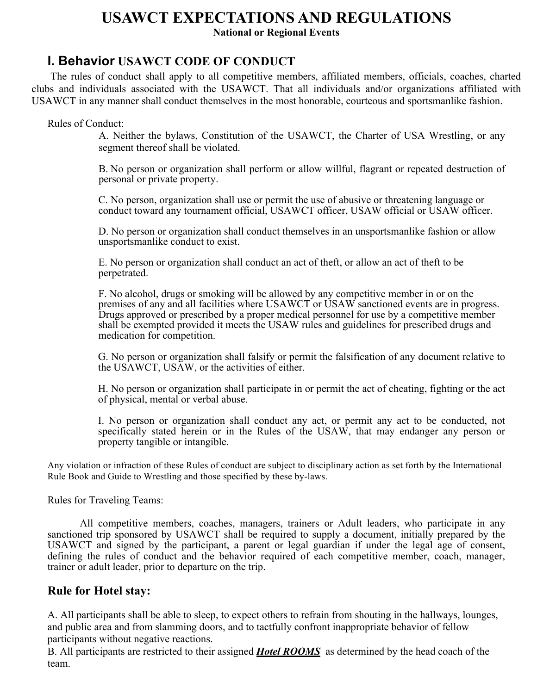#### **USAWCT EXPECTATIONS AND REGULATIONS National or Regional Events**

#### **I. Behavior USAWCT CODE OF CONDUCT**

The rules of conduct shall apply to all competitive members, affiliated members, officials, coaches, charted clubs and individuals associated with the USAWCT. That all individuals and/or organizations affiliated with USAWCT in any manner shall conduct themselves in the most honorable, courteous and sportsmanlike fashion.

Rules of Conduct:

A. Neither the bylaws, Constitution of the USAWCT, the Charter of USA Wrestling, or any segment thereof shall be violated.

B. No person or organization shall perform or allow willful, flagrant or repeated destruction of personal or private property.

C. No person, organization shall use or permit the use of abusive or threatening language or conduct toward any tournament official, USAWCT officer, USAW official or USAW officer.

D. No person or organization shall conduct themselves in an unsportsmanlike fashion or allow unsportsmanlike conduct to exist.

E. No person or organization shall conduct an act of theft, or allow an act of theft to be perpetrated.

F. No alcohol, drugs or smoking will be allowed by any competitive member in or on the premises of any and all facilities where USAWCT or USAW sanctioned events are in progress. Drugs approved or prescribed by a proper medical personnel for use by a competitive member shall be exempted provided it meets the USAW rules and guidelines for prescribed drugs and medication for competition.

G. No person or organization shall falsify or permit the falsification of any document relative to the USAWCT, USAW, or the activities of either.

H. No person or organization shall participate in or permit the act of cheating, fighting or the act of physical, mental or verbal abuse.

I. No person or organization shall conduct any act, or permit any act to be conducted, not specifically stated herein or in the Rules of the USAW, that may endanger any person or property tangible or intangible.

Any violation or infraction of these Rules of conduct are subject to disciplinary action as set forth by the International Rule Book and Guide to Wrestling and those specified by these by-laws.

Rules for Traveling Teams:

All competitive members, coaches, managers, trainers or Adult leaders, who participate in any sanctioned trip sponsored by USAWCT shall be required to supply a document, initially prepared by the USAWCT and signed by the participant, a parent or legal guardian if under the legal age of consent, defining the rules of conduct and the behavior required of each competitive member, coach, manager, trainer or adult leader, prior to departure on the trip.

#### **Rule for Hotel stay:**

A. All participants shall be able to sleep, to expect others to refrain from shouting in the hallways, lounges, and public area and from slamming doors, and to tactfully confront inappropriate behavior of fellow participants without negative reactions.

B. All participants are restricted to their assigned *Hotel ROOMS* as determined by the head coach of the team.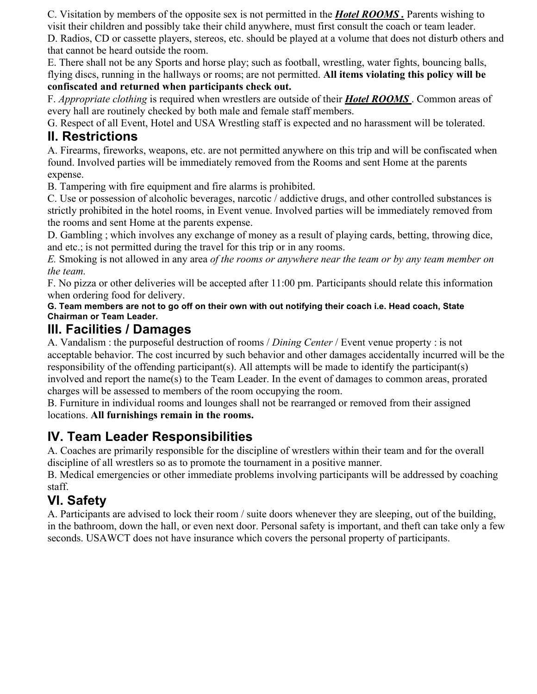C. Visitation by members of the opposite sex is not permitted in the *Hotel ROOMS .* Parents wishing to visit their children and possibly take their child anywhere, must first consult the coach or team leader.

D. Radios, CD or cassette players, stereos, etc. should be played at a volume that does not disturb others and that cannot be heard outside the room.

E. There shall not be any Sports and horse play; such as football, wrestling, water fights, bouncing balls, flying discs, running in the hallways or rooms; are not permitted. **All items violating this policy will be confiscated and returned when participants check out.**

F. *Appropriate clothing* is required when wrestlers are outside of their *Hotel ROOMS* . Common areas of every hall are routinely checked by both male and female staff members.

G. Respect of all Event, Hotel and USA Wrestling staff is expected and no harassment will be tolerated.

## **II. Restrictions**

A. Firearms, fireworks, weapons, etc. are not permitted anywhere on this trip and will be confiscated when found. Involved parties will be immediately removed from the Rooms and sent Home at the parents expense.

B. Tampering with fire equipment and fire alarms is prohibited.

C. Use or possession of alcoholic beverages, narcotic / addictive drugs, and other controlled substances is strictly prohibited in the hotel rooms, in Event venue. Involved parties will be immediately removed from the rooms and sent Home at the parents expense.

D. Gambling ; which involves any exchange of money as a result of playing cards, betting, throwing dice, and etc.; is not permitted during the travel for this trip or in any rooms.

*E.* Smoking is not allowed in any area *of the rooms or anywhere near the team or by any team member on the team.*

F. No pizza or other deliveries will be accepted after 11:00 pm. Participants should relate this information when ordering food for delivery.

**G. Team members are not to go off on their own with out notifying their coach i.e. Head coach, State Chairman or Team Leader.**

#### **III. Facilities / Damages**

A. Vandalism : the purposeful destruction of rooms / *Dining Center* / Event venue property : is not acceptable behavior. The cost incurred by such behavior and other damages accidentally incurred will be the responsibility of the offending participant(s). All attempts will be made to identify the participant(s) involved and report the name(s) to the Team Leader. In the event of damages to common areas, prorated charges will be assessed to members of the room occupying the room.

B. Furniture in individual rooms and lounges shall not be rearranged or removed from their assigned locations. **All furnishings remain in the rooms.**

## **IV. Team Leader Responsibilities**

A. Coaches are primarily responsible for the discipline of wrestlers within their team and for the overall discipline of all wrestlers so as to promote the tournament in a positive manner.

B. Medical emergencies or other immediate problems involving participants will be addressed by coaching staff.

## **VI. Safety**

A. Participants are advised to lock their room / suite doors whenever they are sleeping, out of the building, in the bathroom, down the hall, or even next door. Personal safety is important, and theft can take only a few seconds. USAWCT does not have insurance which covers the personal property of participants.